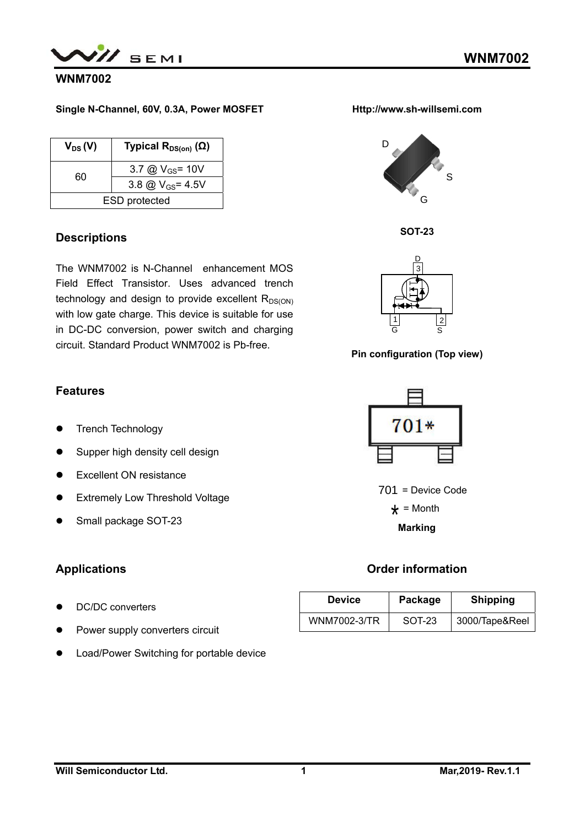

## **WNM7002**

### **Single N-Channel, 60V, 0.3A, Power MOSFET**

| $V_{DS}(V)$ | Typical $R_{DS(on)}(\Omega)$ |
|-------------|------------------------------|
| 60          | 3.7 @ $V_{GS}$ = 10V         |
|             | 3.8 @ $V_{GS} = 4.5V$        |
|             | <b>ESD</b> protected         |

### **Descriptions**

The WNM7002 is N-Channel enhancement MOS Field Effect Transistor. Uses advanced trench technology and design to provide excellent  $R_{DS(ON)}$ with low gate charge. This device is suitable for use in DC-DC conversion, power switch and charging circuit. Standard Product WNM7002 is Pb-free.

## **Features**

- **•** Trench Technology
- Supper high density cell design
- **•** Excellent ON resistance
- **•** Extremely Low Threshold Voltage
- Small package SOT-23

## **Applications**

- DC/DC converters
- Power supply converters circuit
- **•** Load/Power Switching for portable device







### **Pin configuration (Top view)**



 $701$  = Device Code  $\star$  = Month

**Marking** 

## **Order information**

| <b>Device</b> | Package | <b>Shipping</b> |  |  |
|---------------|---------|-----------------|--|--|
| WNM7002-3/TR  | SOT-23  | 3000/Tape&Reel  |  |  |

**Http://www.sh-willsemi.com**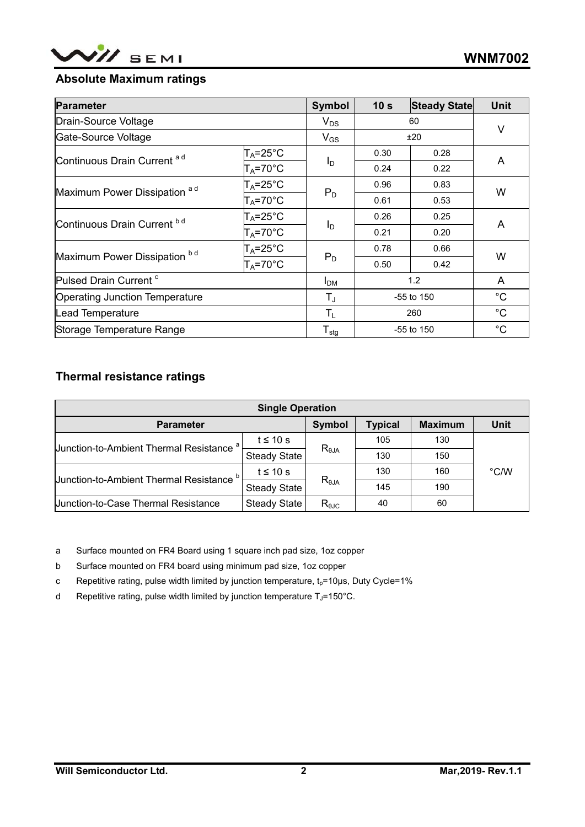

## **Absolute Maximum ratings**

| <b>Parameter</b>                       |                      | <b>Symbol</b>                | 10 <sub>s</sub> | <b>Steady State</b> | <b>Unit</b>  |
|----------------------------------------|----------------------|------------------------------|-----------------|---------------------|--------------|
| Drain-Source Voltage                   |                      | $V_{DS}$                     | 60              |                     | $\vee$       |
| Gate-Source Voltage                    |                      | $V_{GS}$                     | ±20             |                     |              |
| Continuous Drain Current <sup>ad</sup> | $T_A = 25^{\circ}$ C |                              | 0.30            | 0.28                | A            |
|                                        | $T_A = 70$ °C        | $I_D$                        | 0.24            | 0.22                |              |
| Maximum Power Dissipation ad           | $T_A = 25^{\circ}C$  |                              | 0.96            | 0.83                | W            |
|                                        | $T_A = 70$ °C        | $P_D$                        | 0.61            | 0.53                |              |
| Continuous Drain Current bd            | $T_A = 25^{\circ}$ C | $I_{\text{D}}$               | 0.26            | 0.25                | A            |
|                                        | $T_A = 70^{\circ}$ C |                              | 0.21            | 0.20                |              |
|                                        | $T_A = 25^{\circ}$ C | $P_D$                        | 0.78            | 0.66                | W            |
| Maximum Power Dissipation bd           | $T_A = 70^\circ C$   |                              | 0.50            | 0.42                |              |
| Pulsed Drain Current <sup>c</sup>      |                      | <b>I</b> <sub>DM</sub>       | 1.2             |                     | A            |
| <b>Operating Junction Temperature</b>  |                      | $T_{\rm J}$                  | -55 to 150      |                     | $^{\circ}$ C |
| Lead Temperature                       |                      | $T_{L}$                      | 260             |                     | $^{\circ}C$  |
| Storage Temperature Range              |                      | ${\mathsf T}_{\textsf{stg}}$ |                 | $-55$ to 150        | $^{\circ}C$  |

## **Thermal resistance ratings**

| <b>Single Operation</b>                             |                     |                 |                |                |      |  |  |
|-----------------------------------------------------|---------------------|-----------------|----------------|----------------|------|--|--|
| <b>Parameter</b>                                    |                     | Symbol          | <b>Typical</b> | <b>Maximum</b> | Unit |  |  |
|                                                     | $t \leq 10$ s       | $R_{\theta$ JA  | 105            | 130            |      |  |  |
| Uunction-to-Ambient Thermal Resistance <sup>a</sup> | <b>Steady State</b> |                 | 130            | 150            |      |  |  |
|                                                     | $t \leq 10$ s       | $R_{\theta JA}$ | 130            | 160            | °C/W |  |  |
| Junction-to-Ambient Thermal Resistance <sup>b</sup> | <b>Steady State</b> |                 | 145            | 190            |      |  |  |
| <b>Junction-to-Case Thermal Resistance</b>          | <b>Steady State</b> | $R_{\theta$ JC  | 40             | 60             |      |  |  |

a Surface mounted on FR4 Board using 1 square inch pad size, 1oz copper

b Surface mounted on FR4 board using minimum pad size, 1oz copper

c Repetitive rating, pulse width limited by junction temperature,  $t_p$ =10µs, Duty Cycle=1%

d Repetitive rating, pulse width limited by junction temperature  $T_J$ =150°C.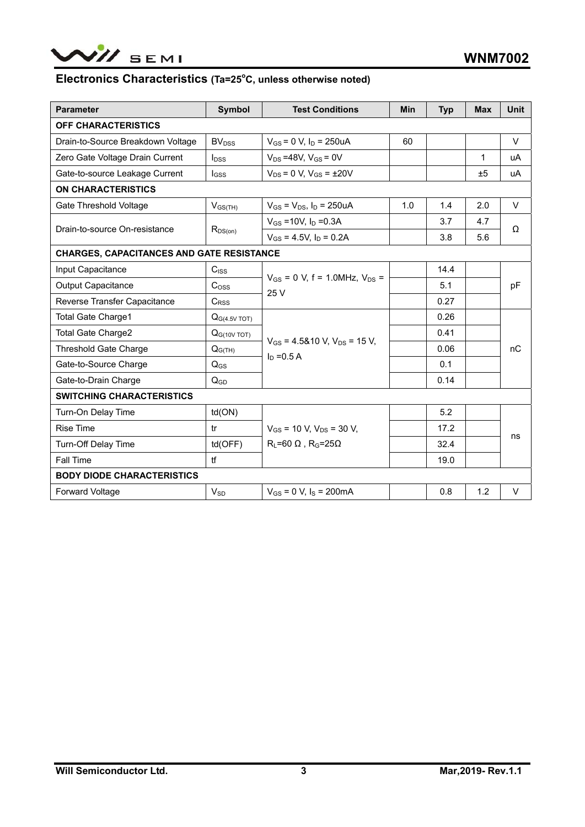

#### Electronics Characteristics (Ta=25<sup>°</sup>C, unless otherwise noted)

| <b>Parameter</b>                                 | <b>Symbol</b>               | <b>Test Conditions</b>                                | <b>Min</b> | <b>Typ</b> | <b>Max</b> | <b>Unit</b> |  |  |
|--------------------------------------------------|-----------------------------|-------------------------------------------------------|------------|------------|------------|-------------|--|--|
| <b>OFF CHARACTERISTICS</b>                       |                             |                                                       |            |            |            |             |  |  |
| Drain-to-Source Breakdown Voltage                | <b>BV<sub>DSS</sub></b>     | $V_{GS}$ = 0 V, $I_D$ = 250uA                         | 60         |            |            | $\vee$      |  |  |
| Zero Gate Voltage Drain Current                  | $I_{DSS}$                   | $V_{DS} = 48V$ , $V_{GS} = 0V$                        |            |            | 1          | uA          |  |  |
| Gate-to-source Leakage Current                   | $I_{GSS}$                   | $V_{DS} = 0 V, V_{GS} = \pm 20 V$                     |            |            | ±5         | uA          |  |  |
| <b>ON CHARACTERISTICS</b>                        |                             |                                                       |            |            |            |             |  |  |
| Gate Threshold Voltage                           | $V_{GS(TH)}$                | $V_{GS} = V_{DS}$ , $I_D = 250uA$                     | 1.0        | 1.4        | 2.0        | $\vee$      |  |  |
|                                                  |                             | $V_{GS}$ =10V, $I_D$ =0.3A                            |            | 3.7        | 4.7        | Ω           |  |  |
| Drain-to-source On-resistance                    | $R_{DS(on)}$                | $V_{GS}$ = 4.5V, $I_D$ = 0.2A                         |            | 3.8        | 5.6        |             |  |  |
| <b>CHARGES, CAPACITANCES AND GATE RESISTANCE</b> |                             |                                                       |            |            |            |             |  |  |
| Input Capacitance                                | C <sub>ISS</sub>            |                                                       |            | 14.4       |            |             |  |  |
| <b>Output Capacitance</b>                        | $\mathrm{C}$ <sub>OSS</sub> | $V_{GS}$ = 0 V, f = 1.0MHz, $V_{DS}$ =<br>25 V        |            | 5.1        |            | pF          |  |  |
| Reverse Transfer Capacitance                     | C <sub>RSS</sub>            |                                                       |            | 0.27       |            |             |  |  |
| Total Gate Charge1                               | Q <sub>G</sub> (4.5V TOT)   |                                                       |            | 0.26       |            |             |  |  |
| <b>Total Gate Charge2</b>                        | $QG(10V$ TOT)               |                                                       |            | 0.41       |            | nC          |  |  |
| <b>Threshold Gate Charge</b>                     | $Q_{G(TH)}$                 | $V_{GS}$ = 4.5&10 V, $V_{DS}$ = 15 V,<br>$In = 0.5 A$ |            | 0.06       |            |             |  |  |
| Gate-to-Source Charge                            | $Q_{GS}$                    |                                                       |            | 0.1        |            |             |  |  |
| Gate-to-Drain Charge                             | $Q_{GD}$                    |                                                       |            | 0.14       |            |             |  |  |
| <b>SWITCHING CHARACTERISTICS</b>                 |                             |                                                       |            |            |            |             |  |  |
| Turn-On Delay Time                               | td(ON)                      |                                                       |            | 5.2        |            |             |  |  |
| <b>Rise Time</b>                                 | tr                          | $V_{GS}$ = 10 V, $V_{DS}$ = 30 V,                     |            | 17.2       |            | ns          |  |  |
| Turn-Off Delay Time                              | td(OFF)                     | $R_L = 60 \Omega$ , $R_G = 25\Omega$                  |            | 32.4       |            |             |  |  |
| Fall Time                                        | tf                          |                                                       |            | 19.0       |            |             |  |  |
| <b>BODY DIODE CHARACTERISTICS</b>                |                             |                                                       |            |            |            |             |  |  |
| <b>Forward Voltage</b>                           | $\mathsf{V}_{\mathsf{SD}}$  | $V_{GS} = 0 V$ , $I_S = 200mA$                        |            | 0.8        | 1.2        | $\vee$      |  |  |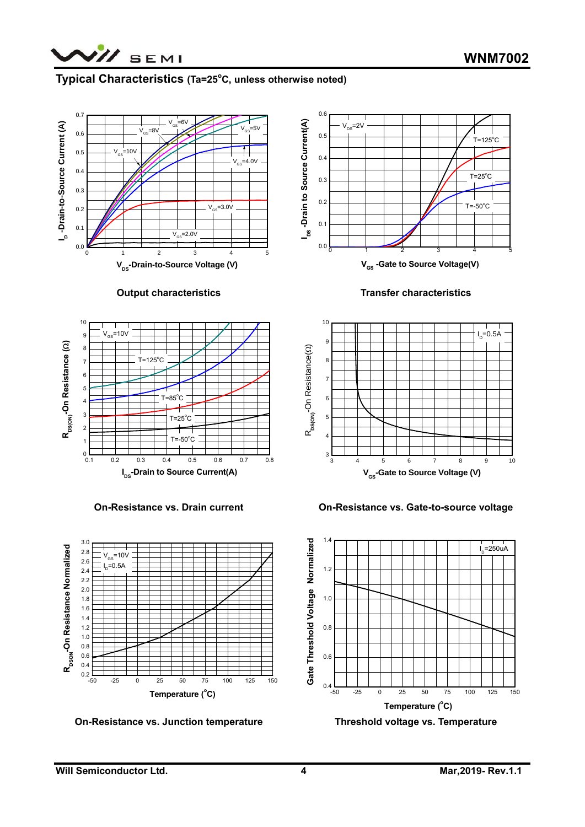

#### **Typical Characteristics (Ta=25°C, unless otherwise noted)**







**On-Resistance vs. Drain current** 



**On-Resistance vs. Junction temperature** 







**On-Resistance vs. Gate-to-source voltage** 



**Threshold voltage vs. Temperature**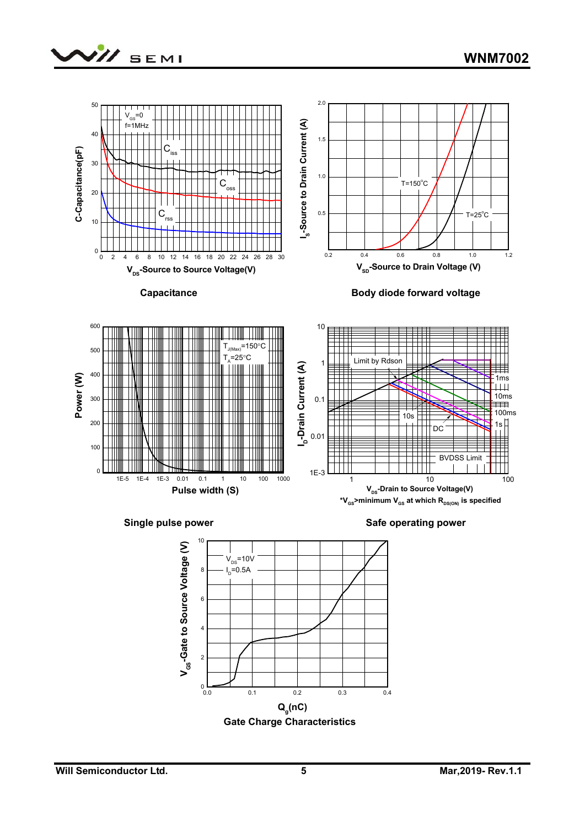





 **Gate Charge Characteristics**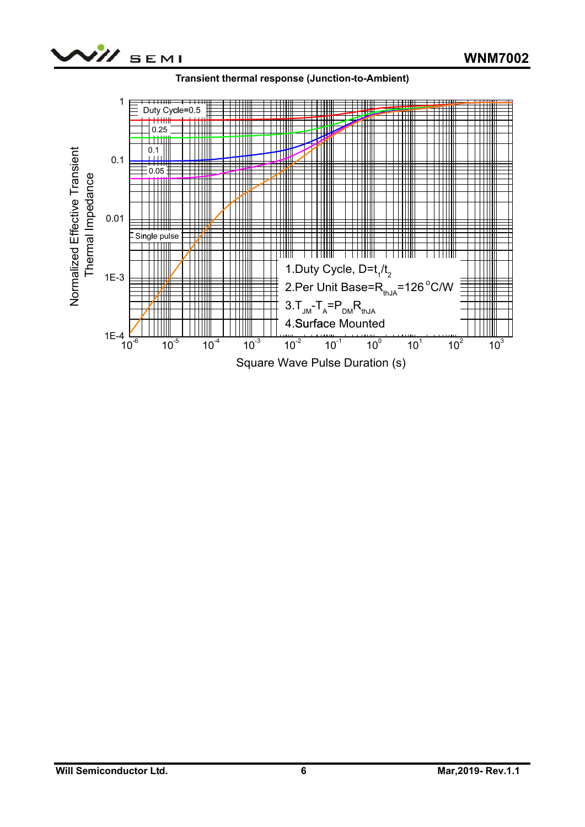



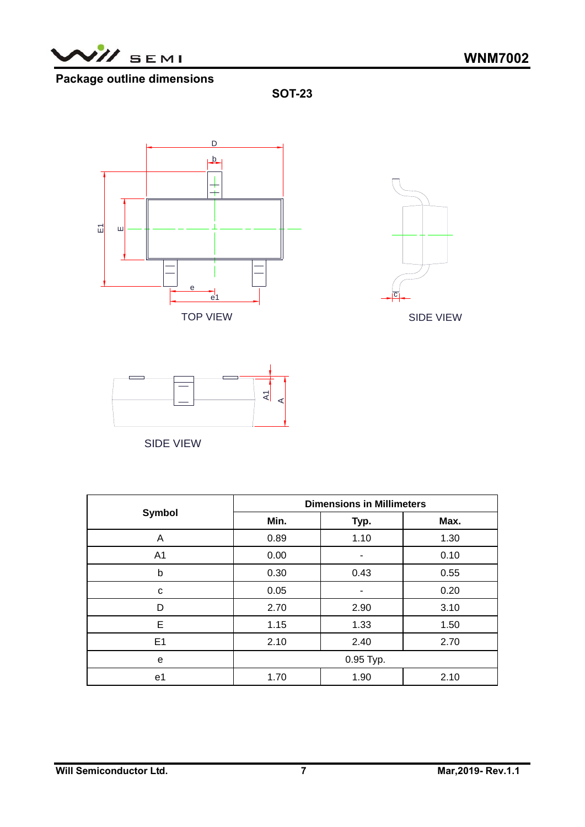

# **Package outline dimensions**

**SOT-23** 





SIDE VIEW



SIDE VIEW

|                | <b>Dimensions in Millimeters</b> |      |      |  |  |  |
|----------------|----------------------------------|------|------|--|--|--|
| <b>Symbol</b>  | Min.                             | Typ. | Max. |  |  |  |
| A              | 0.89                             | 1.10 | 1.30 |  |  |  |
| A <sub>1</sub> | 0.00                             | ۰    | 0.10 |  |  |  |
| b              | 0.30                             | 0.43 | 0.55 |  |  |  |
| C              | 0.05                             |      | 0.20 |  |  |  |
| D              | 2.70                             | 2.90 | 3.10 |  |  |  |
| E              | 1.15                             | 1.33 | 1.50 |  |  |  |
| E1             | 2.10                             | 2.40 | 2.70 |  |  |  |
| e              | 0.95 Typ.                        |      |      |  |  |  |
| e1             | 1.90<br>1.70                     |      | 2.10 |  |  |  |